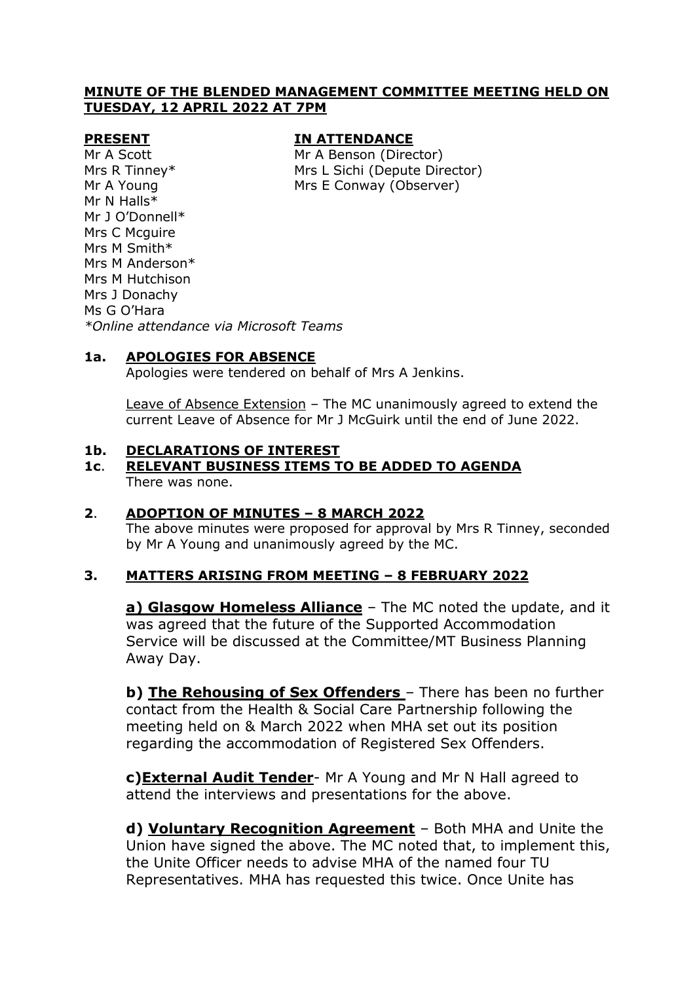### **MINUTE OF THE BLENDED MANAGEMENT COMMITTEE MEETING HELD ON TUESDAY, 12 APRIL 2022 AT 7PM**

#### **PRESENT IN ATTENDANCE**

Mr A Scott Mr A Benson (Director) Mrs R Tinney\* Mrs L Sichi (Depute Director) Mr A Young **Mrs E Conway (Observer)** 

Mr N Halls\* Mr J O'Donnell\* Mrs C Mcguire Mrs M Smith\* Mrs M Anderson\* Mrs M Hutchison Mrs J Donachy Ms G O'Hara *\*Online attendance via Microsoft Teams*

### **1a. APOLOGIES FOR ABSENCE**

Apologies were tendered on behalf of Mrs A Jenkins.

Leave of Absence Extension – The MC unanimously agreed to extend the current Leave of Absence for Mr J McGuirk until the end of June 2022.

#### **1b. DECLARATIONS OF INTEREST**

#### **1c**. **RELEVANT BUSINESS ITEMS TO BE ADDED TO AGENDA** There was none.

### **2**. **ADOPTION OF MINUTES – 8 MARCH 2022**

The above minutes were proposed for approval by Mrs R Tinney, seconded by Mr A Young and unanimously agreed by the MC.

### **3. MATTERS ARISING FROM MEETING – 8 FEBRUARY 2022**

**a) Glasgow Homeless Alliance** – The MC noted the update, and it was agreed that the future of the Supported Accommodation Service will be discussed at the Committee/MT Business Planning Away Day.

**b) The Rehousing of Sex Offenders** – There has been no further contact from the Health & Social Care Partnership following the meeting held on & March 2022 when MHA set out its position regarding the accommodation of Registered Sex Offenders.

**c)External Audit Tender**- Mr A Young and Mr N Hall agreed to attend the interviews and presentations for the above.

**d) Voluntary Recognition Agreement** – Both MHA and Unite the Union have signed the above. The MC noted that, to implement this, the Unite Officer needs to advise MHA of the named four TU Representatives. MHA has requested this twice. Once Unite has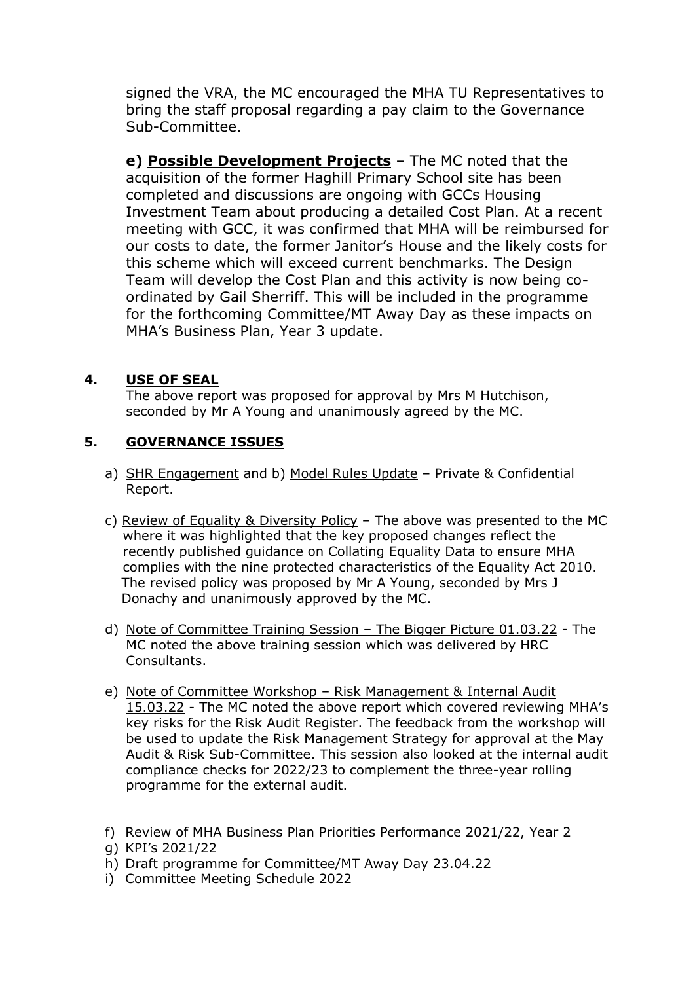signed the VRA, the MC encouraged the MHA TU Representatives to bring the staff proposal regarding a pay claim to the Governance Sub-Committee.

**e) Possible Development Projects** – The MC noted that the acquisition of the former Haghill Primary School site has been completed and discussions are ongoing with GCCs Housing Investment Team about producing a detailed Cost Plan. At a recent meeting with GCC, it was confirmed that MHA will be reimbursed for our costs to date, the former Janitor's House and the likely costs for this scheme which will exceed current benchmarks. The Design Team will develop the Cost Plan and this activity is now being coordinated by Gail Sherriff. This will be included in the programme for the forthcoming Committee/MT Away Day as these impacts on MHA's Business Plan, Year 3 update.

# **4. USE OF SEAL**

The above report was proposed for approval by Mrs M Hutchison, seconded by Mr A Young and unanimously agreed by the MC.

# **5. GOVERNANCE ISSUES**

- a) SHR Engagement and b) Model Rules Update Private & Confidential Report.
- c) Review of Equality & Diversity Policy The above was presented to the MC where it was highlighted that the key proposed changes reflect the recently published guidance on Collating Equality Data to ensure MHA complies with the nine protected characteristics of the Equality Act 2010. The revised policy was proposed by Mr A Young, seconded by Mrs J Donachy and unanimously approved by the MC.
- d) Note of Committee Training Session The Bigger Picture 01.03.22 The MC noted the above training session which was delivered by HRC Consultants.
- e) Note of Committee Workshop Risk Management & Internal Audit 15.03.22 - The MC noted the above report which covered reviewing MHA's key risks for the Risk Audit Register. The feedback from the workshop will be used to update the Risk Management Strategy for approval at the May Audit & Risk Sub-Committee. This session also looked at the internal audit compliance checks for 2022/23 to complement the three-year rolling programme for the external audit.
- f) Review of MHA Business Plan Priorities Performance 2021/22, Year 2
- g) KPI's 2021/22
- h) Draft programme for Committee/MT Away Day 23.04.22
- i) Committee Meeting Schedule 2022